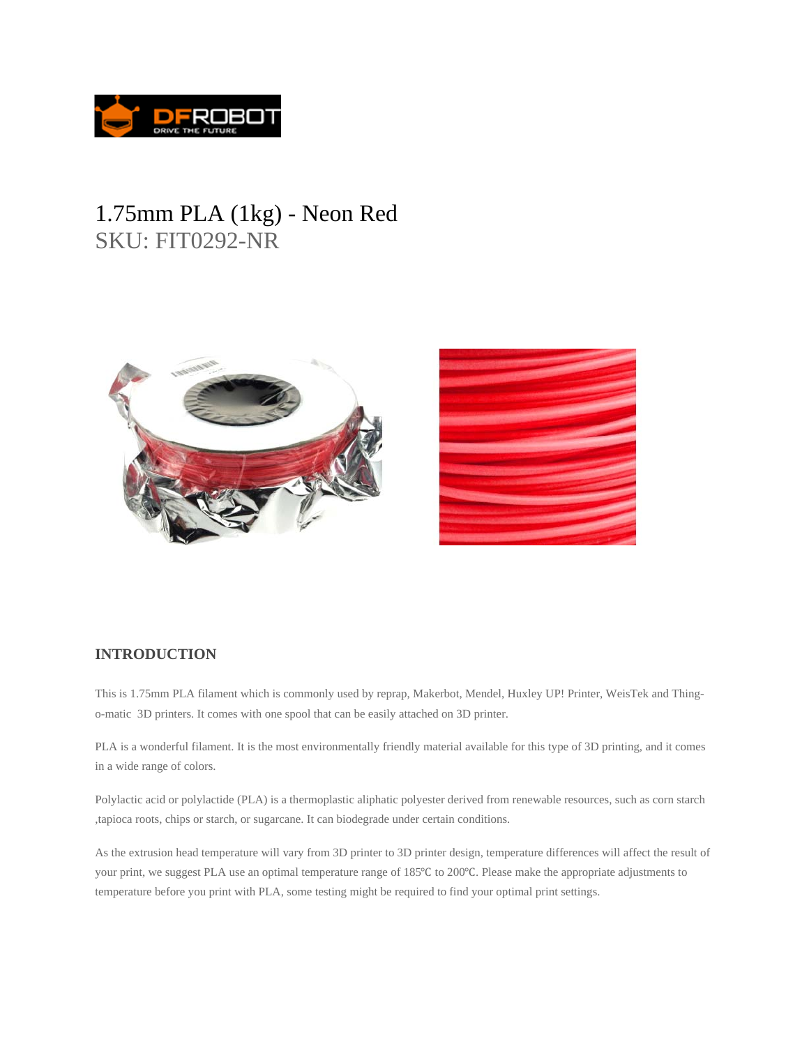

## 1.75mm PLA (1kg) - Neon Red SKU: FIT0292-NR



## **INTRODUCTION**

This is 1.75mm PLA filament which is commonly used by reprap, Makerbot, Mendel, Huxley UP! Printer, WeisTek and Thingo-matic 3D printers. It comes with one spool that can be easily attached on 3D printer.

PLA is a wonderful filament. It is the most environmentally friendly material available for this type of 3D printing, and it comes in a wide range of colors.

Polylactic acid or polylactide (PLA) is a thermoplastic aliphatic polyester derived from renewable resources, such as corn starch ,tapioca roots, chips or starch, or sugarcane. It can biodegrade under certain conditions.

As the extrusion head temperature will vary from 3D printer to 3D printer design, temperature differences will affect the result of your print, we suggest PLA use an optimal temperature range of 185°C to 200°C. Please make the appropriate adjustments to temperature before you print with PLA, some testing might be required to find your optimal print settings.